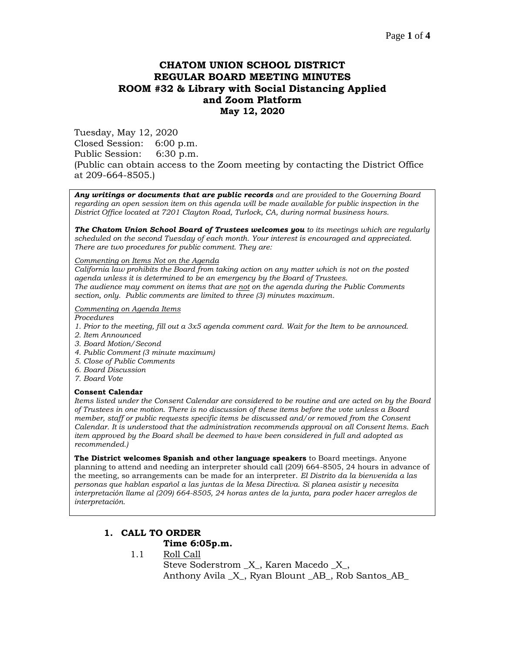# **CHATOM UNION SCHOOL DISTRICT REGULAR BOARD MEETING MINUTES ROOM #32 & Library with Social Distancing Applied and Zoom Platform May 12, 2020**

Tuesday, May 12, 2020 Closed Session: 6:00 p.m. Public Session: 6:30 p.m. (Public can obtain access to the Zoom meeting by contacting the District Office at 209-664-8505.)

*Any writings or documents that are public records and are provided to the Governing Board regarding an open session item on this agenda will be made available for public inspection in the District Office located at 7201 Clayton Road, Turlock, CA, during normal business hours.*

*The Chatom Union School Board of Trustees welcomes you to its meetings which are regularly scheduled on the second Tuesday of each month. Your interest is encouraged and appreciated. There are two procedures for public comment. They are:*

#### *Commenting on Items Not on the Agenda*

*California law prohibits the Board from taking action on any matter which is not on the posted agenda unless it is determined to be an emergency by the Board of Trustees. The audience may comment on items that are not on the agenda during the Public Comments section, only. Public comments are limited to three (3) minutes maximum.*

#### *Commenting on Agenda Items*

*Procedures* 

- *1. Prior to the meeting, fill out a 3x5 agenda comment card. Wait for the Item to be announced.*
- *2. Item Announced*
- *3. Board Motion/Second*
- *4. Public Comment (3 minute maximum)*
- *5. Close of Public Comments*
- *6. Board Discussion*
- *7. Board Vote*

#### **Consent Calendar**

*Items listed under the Consent Calendar are considered to be routine and are acted on by the Board of Trustees in one motion. There is no discussion of these items before the vote unless a Board member, staff or public requests specific items be discussed and/or removed from the Consent Calendar. It is understood that the administration recommends approval on all Consent Items. Each item approved by the Board shall be deemed to have been considered in full and adopted as recommended.)*

**The District welcomes Spanish and other language speakers** to Board meetings. Anyone planning to attend and needing an interpreter should call (209) 664-8505, 24 hours in advance of the meeting, so arrangements can be made for an interpreter. *El Distrito da la bienvenida a las personas que hablan español a las juntas de la Mesa Directiva. Si planea asistir y necesita interpretación llame al (209) 664-8505, 24 horas antes de la junta, para poder hacer arreglos de interpretación.*

## **1. CALL TO ORDER**

### **Time 6:05p.m.**

1.1 Roll Call

Steve Soderstrom \_X\_, Karen Macedo \_X\_, Anthony Avila \_X\_, Ryan Blount \_AB\_, Rob Santos\_AB\_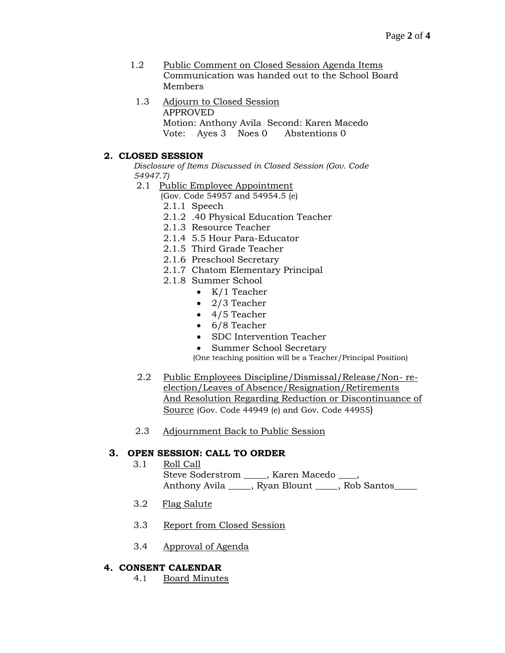- 1.2 Public Comment on Closed Session Agenda Items Communication was handed out to the School Board Members
	- 1.3 Adjourn to Closed Session APPROVED Motion: Anthony Avila Second: Karen Macedo Vote: Ayes 3 Noes 0 Abstentions 0

## **2. CLOSED SESSION**

*Disclosure of Items Discussed in Closed Session (Gov. Code 54947.7)*

- 2.1 Public Employee Appointment
	- (Gov. Code 54957 and 54954.5 (e)
	- 2.1.1 Speech
	- 2.1.2 .40 Physical Education Teacher
	- 2.1.3 Resource Teacher
	- 2.1.4 5.5 Hour Para-Educator
	- 2.1.5 Third Grade Teacher
	- 2.1.6 Preschool Secretary
	- 2.1.7 Chatom Elementary Principal
	- 2.1.8 Summer School
		- K/1 Teacher
		- 2/3 Teacher
		- 4/5 Teacher
		- 6/8 Teacher
		- SDC Intervention Teacher
		- Summer School Secretary

(One teaching position will be a Teacher/Principal Position)

- 2.2 Public Employees Discipline/Dismissal/Release/Non- reelection/Leaves of Absence/Resignation/Retirements And Resolution Regarding Reduction or Discontinuance of Source (Gov. Code 44949 (e) and Gov. Code 44955)
- 2.3 Adjournment Back to Public Session

## **3. OPEN SESSION: CALL TO ORDER**

- 3.1 Roll Call Steve Soderstrom \_\_\_\_\_, Karen Macedo \_\_\_\_, Anthony Avila \_\_\_\_\_, Ryan Blount \_\_\_\_, Rob Santos\_\_\_\_
- 3.2 Flag Salute
- 3.3 Report from Closed Session
- 3.4 Approval of Agenda

### **4. CONSENT CALENDAR**

4.1 Board Minutes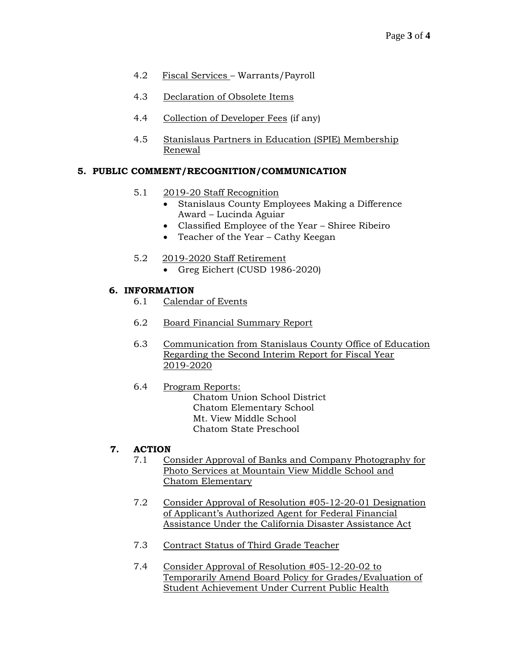- 4.2 Fiscal Services Warrants/Payroll
- 4.3 Declaration of Obsolete Items
- 4.4 Collection of Developer Fees (if any)
- 4.5 Stanislaus Partners in Education (SPIE) Membership Renewal

# **5. PUBLIC COMMENT/RECOGNITION/COMMUNICATION**

- 5.1 2019-20 Staff Recognition
	- Stanislaus County Employees Making a Difference Award – Lucinda Aguiar
	- Classified Employee of the Year Shiree Ribeiro
	- Teacher of the Year Cathy Keegan
- 5.2 2019-2020 Staff Retirement
	- Greg Eichert (CUSD 1986-2020)

# **6. INFORMATION**

- 6.1 Calendar of Events
- 6.2 Board Financial Summary Report
- 6.3 Communication from Stanislaus County Office of Education Regarding the Second Interim Report for Fiscal Year 2019-2020
- 6.4 Program Reports: Chatom Union School District Chatom Elementary School Mt. View Middle School Chatom State Preschool

# **7. ACTION**

- 7.1 Consider Approval of Banks and Company Photography for Photo Services at Mountain View Middle School and Chatom Elementary
- 7.2 Consider Approval of Resolution #05-12-20-01 Designation of Applicant's Authorized Agent for Federal Financial Assistance Under the California Disaster Assistance Act
- 7.3 Contract Status of Third Grade Teacher
- 7.4 Consider Approval of Resolution #05-12-20-02 to Temporarily Amend Board Policy for Grades/Evaluation of Student Achievement Under Current Public Health